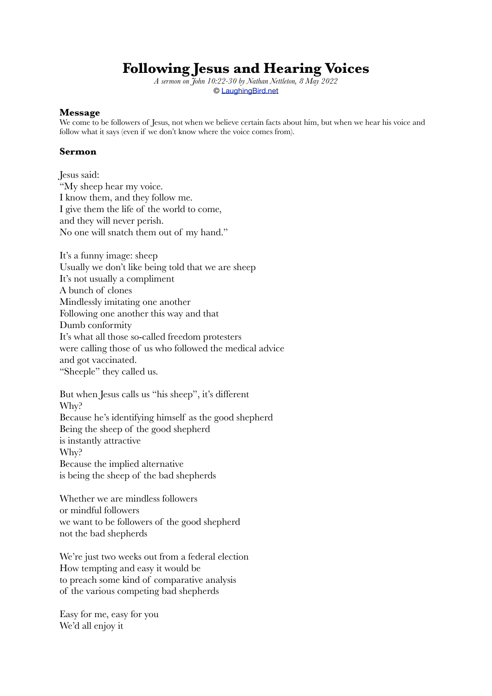## **Following Jesus and Hearing Voices**

*A sermon on John 10:22-30 by Nathan Nettleton, 8 May 2022* © [LaughingBird.net](http://www.laughingbird.net%22%20TARGET=%22_top)

## **Message**

We come to be followers of Jesus, not when we believe certain facts about him, but when we hear his voice and follow what it says (even if we don't know where the voice comes from).

## **Sermon**

Jesus said: "My sheep hear my voice. I know them, and they follow me. I give them the life of the world to come, and they will never perish. No one will snatch them out of my hand."

It's a funny image: sheep Usually we don't like being told that we are sheep It's not usually a compliment A bunch of clones Mindlessly imitating one another Following one another this way and that Dumb conformity It's what all those so-called freedom protesters were calling those of us who followed the medical advice and got vaccinated. "Sheeple" they called us.

But when Jesus calls us "his sheep", it's different Why? Because he's identifying himself as the good shepherd Being the sheep of the good shepherd is instantly attractive Why? Because the implied alternative is being the sheep of the bad shepherds

Whether we are mindless followers or mindful followers we want to be followers of the good shepherd not the bad shepherds

We're just two weeks out from a federal election How tempting and easy it would be to preach some kind of comparative analysis of the various competing bad shepherds

Easy for me, easy for you We'd all enjoy it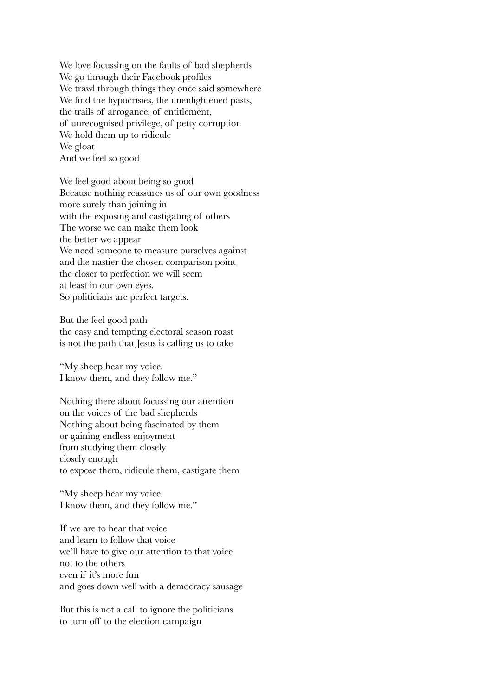We love focussing on the faults of bad shepherds We go through their Facebook profiles We trawl through things they once said somewhere We find the hypocrisies, the unenlightened pasts, the trails of arrogance, of entitlement, of unrecognised privilege, of petty corruption We hold them up to ridicule We gloat And we feel so good

We feel good about being so good Because nothing reassures us of our own goodness more surely than joining in with the exposing and castigating of others The worse we can make them look the better we appear We need someone to measure ourselves against and the nastier the chosen comparison point the closer to perfection we will seem at least in our own eyes. So politicians are perfect targets.

But the feel good path the easy and tempting electoral season roast is not the path that Jesus is calling us to take

"My sheep hear my voice. I know them, and they follow me."

Nothing there about focussing our attention on the voices of the bad shepherds Nothing about being fascinated by them or gaining endless enjoyment from studying them closely closely enough to expose them, ridicule them, castigate them

"My sheep hear my voice. I know them, and they follow me."

If we are to hear that voice and learn to follow that voice we'll have to give our attention to that voice not to the others even if it's more fun and goes down well with a democracy sausage

But this is not a call to ignore the politicians to turn off to the election campaign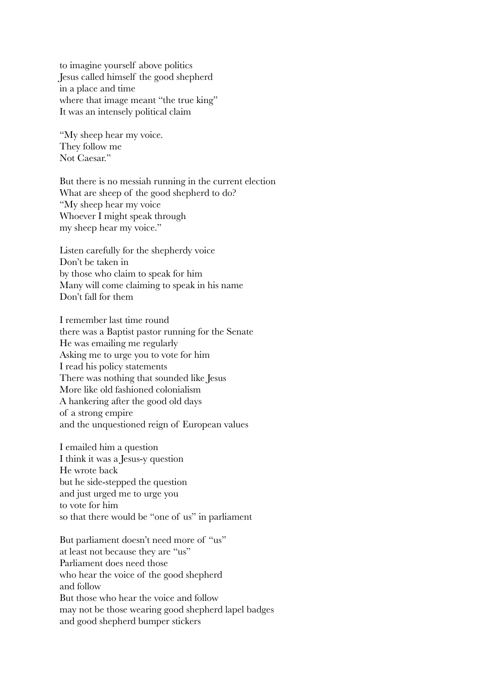to imagine yourself above politics Jesus called himself the good shepherd in a place and time where that image meant "the true king" It was an intensely political claim

"My sheep hear my voice. They follow me Not Caesar."

But there is no messiah running in the current election What are sheep of the good shepherd to do? "My sheep hear my voice Whoever I might speak through my sheep hear my voice."

Listen carefully for the shepherdy voice Don't be taken in by those who claim to speak for him Many will come claiming to speak in his name Don't fall for them

I remember last time round there was a Baptist pastor running for the Senate He was emailing me regularly Asking me to urge you to vote for him I read his policy statements There was nothing that sounded like Jesus More like old fashioned colonialism A hankering after the good old days of a strong empire and the unquestioned reign of European values

I emailed him a question I think it was a Jesus-y question He wrote back but he side-stepped the question and just urged me to urge you to vote for him so that there would be "one of us" in parliament

But parliament doesn't need more of "us" at least not because they are "us" Parliament does need those who hear the voice of the good shepherd and follow But those who hear the voice and follow may not be those wearing good shepherd lapel badges and good shepherd bumper stickers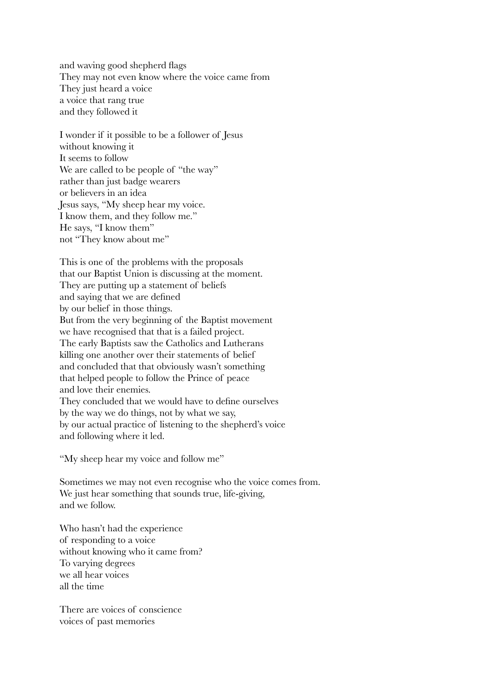and waving good shepherd flags They may not even know where the voice came from They just heard a voice a voice that rang true and they followed it

I wonder if it possible to be a follower of Jesus without knowing it It seems to follow We are called to be people of "the way" rather than just badge wearers or believers in an idea Jesus says, "My sheep hear my voice. I know them, and they follow me." He says, "I know them" not "They know about me"

This is one of the problems with the proposals that our Baptist Union is discussing at the moment. They are putting up a statement of beliefs and saying that we are defined by our belief in those things. But from the very beginning of the Baptist movement we have recognised that that is a failed project. The early Baptists saw the Catholics and Lutherans killing one another over their statements of belief and concluded that that obviously wasn't something that helped people to follow the Prince of peace and love their enemies. They concluded that we would have to define ourselves by the way we do things, not by what we say, by our actual practice of listening to the shepherd's voice and following where it led.

"My sheep hear my voice and follow me"

Sometimes we may not even recognise who the voice comes from. We just hear something that sounds true, life-giving, and we follow.

Who hasn't had the experience of responding to a voice without knowing who it came from? To varying degrees we all hear voices all the time

There are voices of conscience voices of past memories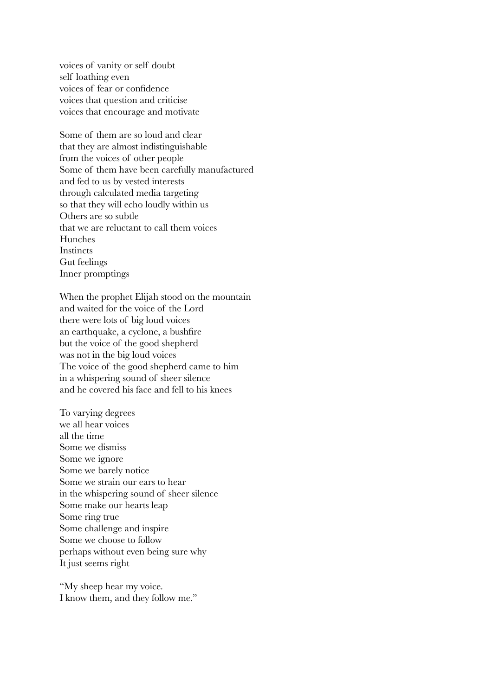voices of vanity or self doubt self loathing even voices of fear or confidence voices that question and criticise voices that encourage and motivate

Some of them are so loud and clear that they are almost indistinguishable from the voices of other people Some of them have been carefully manufactured and fed to us by vested interests through calculated media targeting so that they will echo loudly within us Others are so subtle that we are reluctant to call them voices Hunches **Instincts** Gut feelings Inner promptings

When the prophet Elijah stood on the mountain and waited for the voice of the Lord there were lots of big loud voices an earthquake, a cyclone, a bushfire but the voice of the good shepherd was not in the big loud voices The voice of the good shepherd came to him in a whispering sound of sheer silence and he covered his face and fell to his knees

To varying degrees we all hear voices all the time Some we dismiss Some we ignore Some we barely notice Some we strain our ears to hear in the whispering sound of sheer silence Some make our hearts leap Some ring true Some challenge and inspire Some we choose to follow perhaps without even being sure why It just seems right

"My sheep hear my voice. I know them, and they follow me."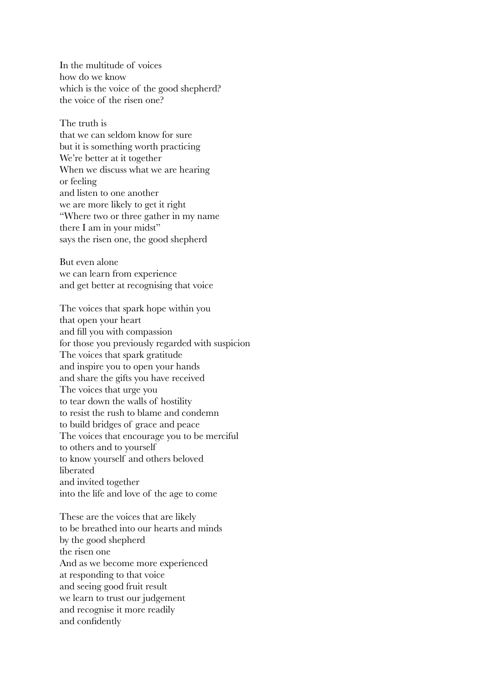In the multitude of voices how do we know which is the voice of the good shepherd? the voice of the risen one?

The truth is that we can seldom know for sure but it is something worth practicing We're better at it together When we discuss what we are hearing or feeling and listen to one another we are more likely to get it right "Where two or three gather in my name there I am in your midst" says the risen one, the good shepherd

But even alone we can learn from experience and get better at recognising that voice

The voices that spark hope within you that open your heart and fill you with compassion for those you previously regarded with suspicion The voices that spark gratitude and inspire you to open your hands and share the gifts you have received The voices that urge you to tear down the walls of hostility to resist the rush to blame and condemn to build bridges of grace and peace The voices that encourage you to be merciful to others and to yourself to know yourself and others beloved liberated and invited together into the life and love of the age to come

These are the voices that are likely to be breathed into our hearts and minds by the good shepherd the risen one And as we become more experienced at responding to that voice and seeing good fruit result we learn to trust our judgement and recognise it more readily and confidently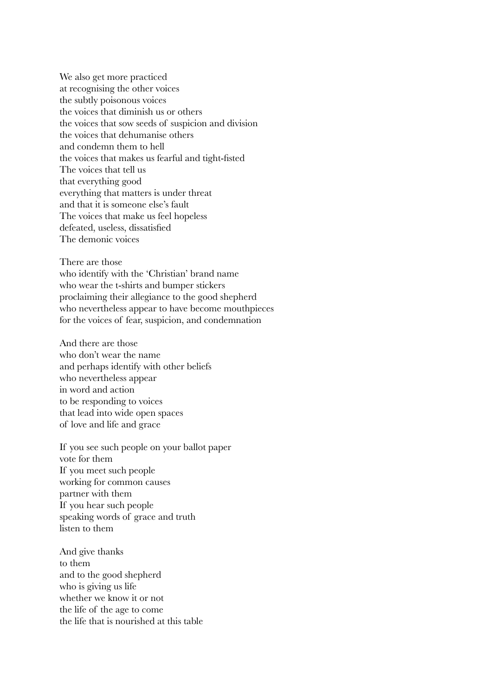We also get more practiced at recognising the other voices the subtly poisonous voices the voices that diminish us or others the voices that sow seeds of suspicion and division the voices that dehumanise others and condemn them to hell the voices that makes us fearful and tight-fisted The voices that tell us that everything good everything that matters is under threat and that it is someone else's fault The voices that make us feel hopeless defeated, useless, dissatisfied The demonic voices

There are those who identify with the 'Christian' brand name who wear the t-shirts and bumper stickers proclaiming their allegiance to the good shepherd who nevertheless appear to have become mouthpieces for the voices of fear, suspicion, and condemnation

And there are those who don't wear the name and perhaps identify with other beliefs who nevertheless appear in word and action to be responding to voices that lead into wide open spaces of love and life and grace

If you see such people on your ballot paper vote for them If you meet such people working for common causes partner with them If you hear such people speaking words of grace and truth listen to them

And give thanks to them and to the good shepherd who is giving us life whether we know it or not the life of the age to come the life that is nourished at this table